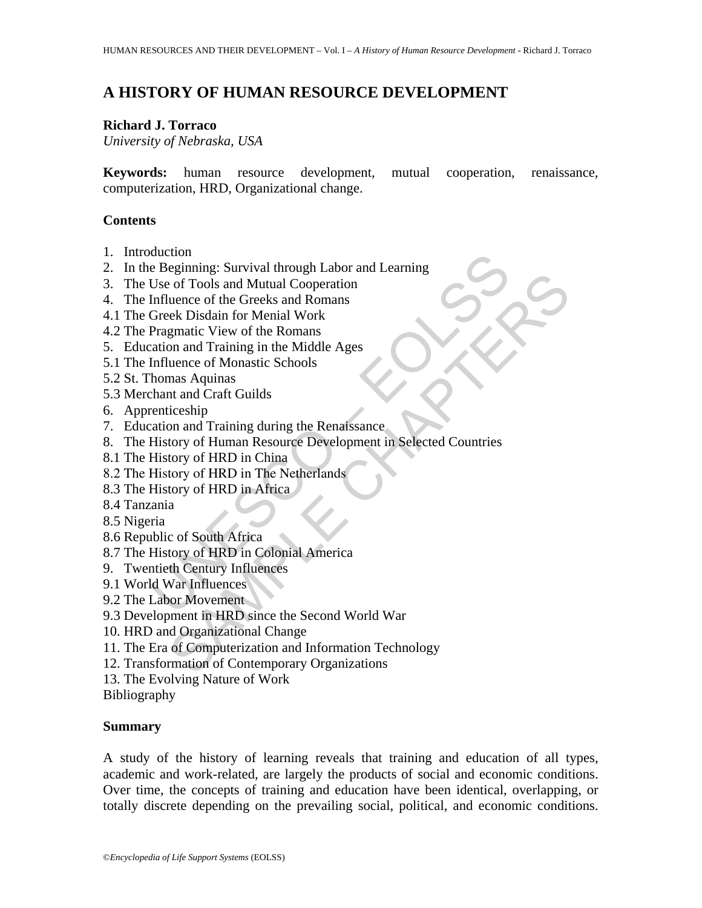# **A HISTORY OF HUMAN RESOURCE DEVELOPMENT**

#### **Richard J. Torraco**

*University of Nebraska, USA* 

**Keywords:** human resource development, mutual cooperation, renaissance, computerization, HRD, Organizational change.

## **Contents**

- 1. Introduction
- 2. In the Beginning: Survival through Labor and Learning
- 3. The Use of Tools and Mutual Cooperation
- 4. The Influence of the Greeks and Romans
- 4.1 The Greek Disdain for Menial Work
- 4.2 The Pragmatic View of the Romans
- 5. Education and Training in the Middle Ages
- 5.1 The Influence of Monastic Schools
- 5.2 St. Thomas Aquinas
- 5.3 Merchant and Craft Guilds
- 6. Apprenticeship
- 7. Education and Training during the Renaissance
- duction<br>
e Beginning: Survival through Labor and Learning<br>
Else of Tools and Mutual Cooperation<br>
Influence of the Greeks and Romans<br>
Greek Disdain for Menial Work<br>
Pragmatic View of the Romans<br>
Influence of Monastic School examing: or Thoula Monday and Science of Tools and Mutual Cooperation<br>tuence of the Greeks and Romans<br>exhibitation for Menial Work<br>man and Training in the Middle Ages<br>man and Training in the Middle Ages<br>tuence of Monastic 8. The History of Human Resource Development in Selected Countries
- 8.1 The History of HRD in China
- 8.2 The History of HRD in The Netherlands
- 8.3 The History of HRD in Africa
- 8.4 Tanzania
- 8.5 Nigeria
- 8.6 Republic of South Africa
- 8.7 The History of HRD in Colonial America
- 9. Twentieth Century Influences
- 9.1 World War Influences
- 9.2 The Labor Movement
- 9.3 Development in HRD since the Second World War
- 10. HRD and Organizational Change
- 11. The Era of Computerization and Information Technology
- 12. Transformation of Contemporary Organizations
- 13. The Evolving Nature of Work
- Bibliography

#### **Summary**

A study of the history of learning reveals that training and education of all types, academic and work-related, are largely the products of social and economic conditions. Over time, the concepts of training and education have been identical, overlapping, or totally discrete depending on the prevailing social, political, and economic conditions.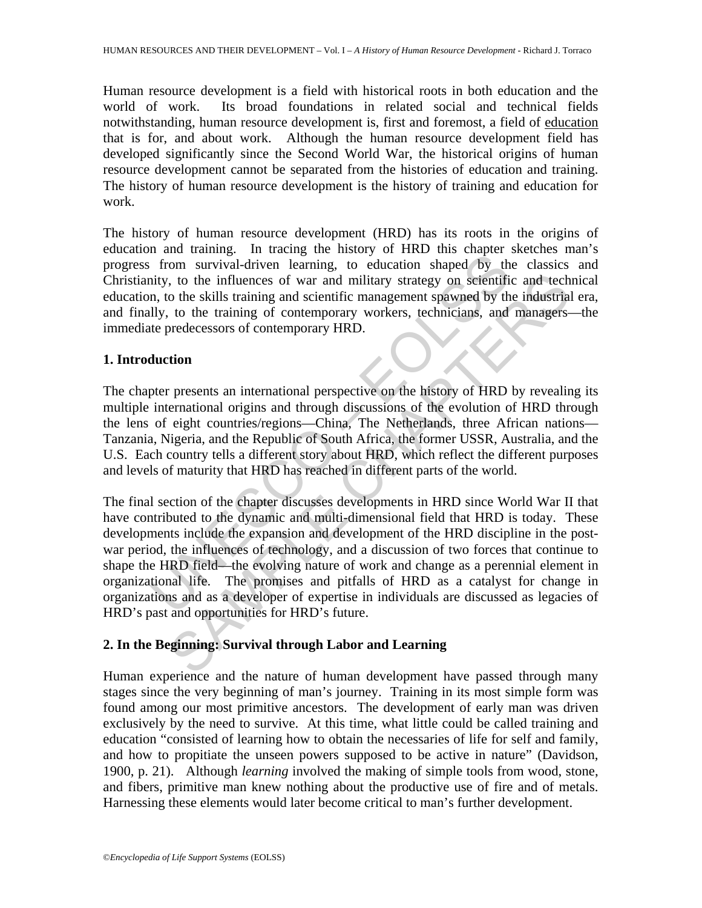Human resource development is a field with historical roots in both education and the world of work. Its broad foundations in related social and technical fields notwithstanding, human resource development is, first and foremost, a field of education that is for, and about work. Although the human resource development field has developed significantly since the Second World War, the historical origins of human resource development cannot be separated from the histories of education and training. The history of human resource development is the history of training and education for work.

The history of human resource development (HRD) has its roots in the origins of education and training. In tracing the history of HRD this chapter sketches man's progress from survival-driven learning, to education shaped by the classics and Christianity, to the influences of war and military strategy on scientific and technical education, to the skills training and scientific management spawned by the industrial era, and finally, to the training of contemporary workers, technicians, and managers—the immediate predecessors of contemporary HRD.

#### **1. Introduction**

The chapter presents an international perspective on the history of HRD by revealing its multiple international origins and through discussions of the evolution of HRD through the lens of eight countries/regions—China, The Netherlands, three African nations— Tanzania, Nigeria, and the Republic of South Africa, the former USSR, Australia, and the U.S. Each country tells a different story about HRD, which reflect the different purposes and levels of maturity that HRD has reached in different parts of the world.

The transmits of the margin and multi-dimensional field that HRD is<br>the information survival-driven learning, to education shaped by the<br>inty, to the influences of war and military strategy on scientific<br>n, to the skills t The influences of war and military strategy on scientific and tech<br>o the skills training and scientific management spawned by the industrial<br>to the training of contemporary workers, technicians, and managers-<br>predecessors The final section of the chapter discusses developments in HRD since World War II that have contributed to the dynamic and multi-dimensional field that HRD is today. These developments include the expansion and development of the HRD discipline in the postwar period, the influences of technology, and a discussion of two forces that continue to shape the HRD field—the evolving nature of work and change as a perennial element in organizational life. The promises and pitfalls of HRD as a catalyst for change in organizations and as a developer of expertise in individuals are discussed as legacies of HRD's past and opportunities for HRD's future.

#### **2. In the Beginning: Survival through Labor and Learning**

Human experience and the nature of human development have passed through many stages since the very beginning of man's journey. Training in its most simple form was found among our most primitive ancestors. The development of early man was driven exclusively by the need to survive. At this time, what little could be called training and education "consisted of learning how to obtain the necessaries of life for self and family, and how to propitiate the unseen powers supposed to be active in nature" (Davidson, 1900, p. 21). Although *learning* involved the making of simple tools from wood, stone, and fibers, primitive man knew nothing about the productive use of fire and of metals. Harnessing these elements would later become critical to man's further development.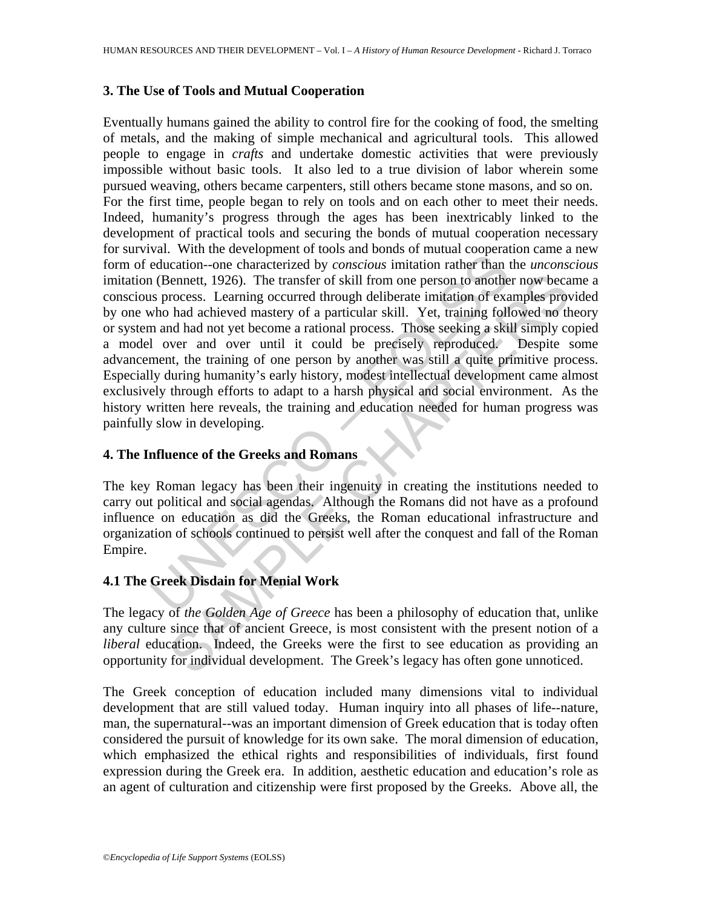## **3. The Use of Tools and Mutual Cooperation**

valid and not consumed by conscious initation rather than the education-one characterized by conscious initation rather than to (Bennett, 1926). The transfer of skill from one person to anothe is process. Learning occurred Bennett, 1926). The transfer of skill from one person to another now beca<br>coccess. Learning occurred through deliberate imitation of examples proved<br>and achieved mastery of a particular skill. Yet, training followed no th Eventually humans gained the ability to control fire for the cooking of food, the smelting of metals, and the making of simple mechanical and agricultural tools. This allowed people to engage in *crafts* and undertake domestic activities that were previously impossible without basic tools. It also led to a true division of labor wherein some pursued weaving, others became carpenters, still others became stone masons, and so on. For the first time, people began to rely on tools and on each other to meet their needs. Indeed, humanity's progress through the ages has been inextricably linked to the development of practical tools and securing the bonds of mutual cooperation necessary for survival. With the development of tools and bonds of mutual cooperation came a new form of education--one characterized by *conscious* imitation rather than the *unconscious* imitation (Bennett, 1926). The transfer of skill from one person to another now became a conscious process. Learning occurred through deliberate imitation of examples provided by one who had achieved mastery of a particular skill. Yet, training followed no theory or system and had not yet become a rational process. Those seeking a skill simply copied a model over and over until it could be precisely reproduced. Despite some advancement, the training of one person by another was still a quite primitive process. Especially during humanity's early history, modest intellectual development came almost exclusively through efforts to adapt to a harsh physical and social environment. As the history written here reveals, the training and education needed for human progress was painfully slow in developing.

#### **4. The Influence of the Greeks and Romans**

The key Roman legacy has been their ingenuity in creating the institutions needed to carry out political and social agendas. Although the Romans did not have as a profound influence on education as did the Greeks, the Roman educational infrastructure and organization of schools continued to persist well after the conquest and fall of the Roman Empire.

## **4.1 The Greek Disdain for Menial Work**

The legacy of *the Golden Age of Greece* has been a philosophy of education that, unlike any culture since that of ancient Greece, is most consistent with the present notion of a *liberal* education. Indeed, the Greeks were the first to see education as providing an opportunity for individual development. The Greek's legacy has often gone unnoticed.

The Greek conception of education included many dimensions vital to individual development that are still valued today. Human inquiry into all phases of life--nature, man, the supernatural--was an important dimension of Greek education that is today often considered the pursuit of knowledge for its own sake. The moral dimension of education, which emphasized the ethical rights and responsibilities of individuals, first found expression during the Greek era. In addition, aesthetic education and education's role as an agent of culturation and citizenship were first proposed by the Greeks. Above all, the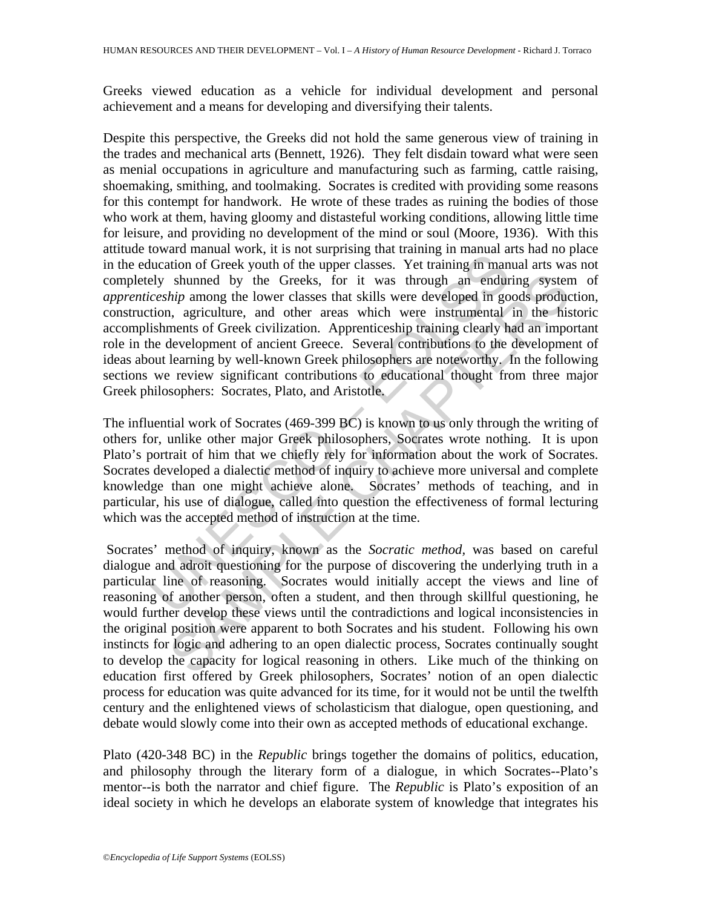Greeks viewed education as a vehicle for individual development and personal achievement and a means for developing and diversifying their talents.

but manial work, it is not supering mathematic and the contradiction of Greek youth of the upper classes. Yet training in manibly shunned by the Greeks, for it was through an endur *ceship* among the lower classes that sk Despite this perspective, the Greeks did not hold the same generous view of training in the trades and mechanical arts (Bennett, 1926). They felt disdain toward what were seen as menial occupations in agriculture and manufacturing such as farming, cattle raising, shoemaking, smithing, and toolmaking. Socrates is credited with providing some reasons for this contempt for handwork. He wrote of these trades as ruining the bodies of those who work at them, having gloomy and distasteful working conditions, allowing little time for leisure, and providing no development of the mind or soul (Moore, 1936). With this attitude toward manual work, it is not surprising that training in manual arts had no place in the education of Greek youth of the upper classes. Yet training in manual arts was not completely shunned by the Greeks, for it was through an enduring system of *apprenticeship* among the lower classes that skills were developed in goods production, construction, agriculture, and other areas which were instrumental in the historic accomplishments of Greek civilization. Apprenticeship training clearly had an important role in the development of ancient Greece. Several contributions to the development of ideas about learning by well-known Greek philosophers are noteworthy. In the following sections we review significant contributions to educational thought from three major Greek philosophers: Socrates, Plato, and Aristotle.

The influential work of Socrates (469-399 BC) is known to us only through the writing of others for, unlike other major Greek philosophers, Socrates wrote nothing. It is upon Plato's portrait of him that we chiefly rely for information about the work of Socrates. Socrates developed a dialectic method of inquiry to achieve more universal and complete knowledge than one might achieve alone. Socrates' methods of teaching, and in particular, his use of dialogue, called into question the effectiveness of formal lecturing which was the accepted method of instruction at the time.

shunned by the Greeks, for it was through an enduring systen<br>*hip* among the lower classes that skills were developed in goods produce,<br>nigrativer, and other areas which were instrumental in the his<br>memoris of Greek civil Socrates' method of inquiry, known as the *Socratic method,* was based on careful dialogue and adroit questioning for the purpose of discovering the underlying truth in a particular line of reasoning. Socrates would initially accept the views and line of reasoning of another person, often a student, and then through skillful questioning, he would further develop these views until the contradictions and logical inconsistencies in the original position were apparent to both Socrates and his student. Following his own instincts for logic and adhering to an open dialectic process, Socrates continually sought to develop the capacity for logical reasoning in others. Like much of the thinking on education first offered by Greek philosophers, Socrates' notion of an open dialectic process for education was quite advanced for its time, for it would not be until the twelfth century and the enlightened views of scholasticism that dialogue, open questioning, and debate would slowly come into their own as accepted methods of educational exchange.

Plato (420-348 BC) in the *Republic* brings together the domains of politics, education, and philosophy through the literary form of a dialogue, in which Socrates--Plato's mentor--is both the narrator and chief figure. The *Republic* is Plato's exposition of an ideal society in which he develops an elaborate system of knowledge that integrates his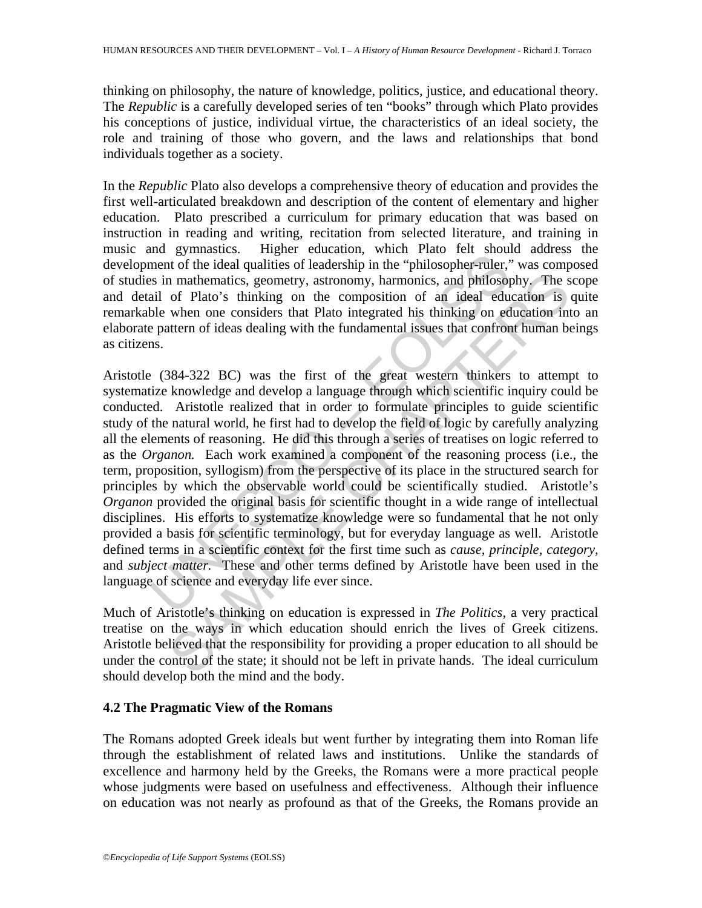thinking on philosophy, the nature of knowledge, politics, justice, and educational theory. The *Republic* is a carefully developed series of ten "books" through which Plato provides his conceptions of justice, individual virtue, the characteristics of an ideal society, the role and training of those who govern, and the laws and relationships that bond individuals together as a society.

In the *Republic* Plato also develops a comprehensive theory of education and provides the first well-articulated breakdown and description of the content of elementary and higher education. Plato prescribed a curriculum for primary education that was based on instruction in reading and writing, recitation from selected literature, and training in music and gymnastics. Higher education, which Plato felt should address the development of the ideal qualities of leadership in the "philosopher-ruler," was composed of studies in mathematics, geometry, astronomy, harmonics, and philosophy. The scope and detail of Plato's thinking on the composition of an ideal education is quite remarkable when one considers that Plato integrated his thinking on education into an elaborate pattern of ideas dealing with the fundamental issues that confront human beings as citizens.

In geometric control of the ideal qualities of leadenthiny in the "philosopher-ruler,"<br>sin mathematics, geometry, astronomy, harmonics, and philosopher-ruler,"<br>sin mathematics, geometry, astronomy, harmonics, and philosop In mathematics, geometry, astronomy, harmonics, and philosophy. The sof Plato's thinking on the composition of an ideal education is when one considers that Plato integrated his thinking on education in when one considers Aristotle (384-322 BC) was the first of the great western thinkers to attempt to systematize knowledge and develop a language through which scientific inquiry could be conducted. Aristotle realized that in order to formulate principles to guide scientific study of the natural world, he first had to develop the field of logic by carefully analyzing all the elements of reasoning. He did this through a series of treatises on logic referred to as the *Organon.* Each work examined a component of the reasoning process (i.e., the term, proposition, syllogism) from the perspective of its place in the structured search for principles by which the observable world could be scientifically studied. Aristotle's *Organon* provided the original basis for scientific thought in a wide range of intellectual disciplines. His efforts to systematize knowledge were so fundamental that he not only provided a basis for scientific terminology, but for everyday language as well. Aristotle defined terms in a scientific context for the first time such as *cause, principle, category,* and *subject matter.* These and other terms defined by Aristotle have been used in the language of science and everyday life ever since.

Much of Aristotle's thinking on education is expressed in *The Politics,* a very practical treatise on the ways in which education should enrich the lives of Greek citizens. Aristotle believed that the responsibility for providing a proper education to all should be under the control of the state; it should not be left in private hands. The ideal curriculum should develop both the mind and the body.

#### **4.2 The Pragmatic View of the Romans**

The Romans adopted Greek ideals but went further by integrating them into Roman life through the establishment of related laws and institutions. Unlike the standards of excellence and harmony held by the Greeks, the Romans were a more practical people whose judgments were based on usefulness and effectiveness. Although their influence on education was not nearly as profound as that of the Greeks, the Romans provide an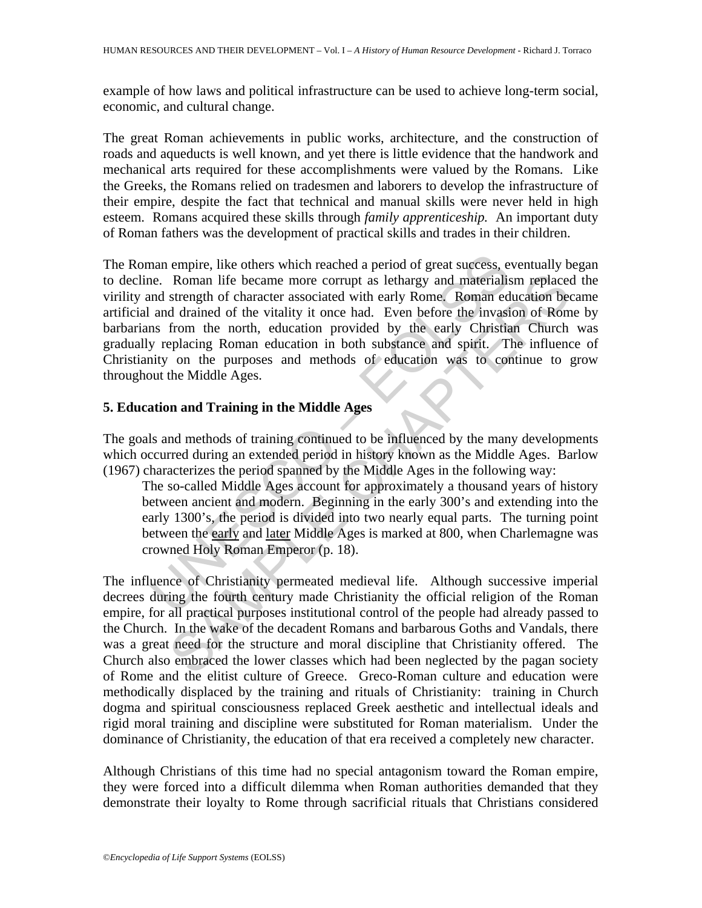example of how laws and political infrastructure can be used to achieve long-term social, economic, and cultural change.

The great Roman achievements in public works, architecture, and the construction of roads and aqueducts is well known, and yet there is little evidence that the handwork and mechanical arts required for these accomplishments were valued by the Romans. Like the Greeks, the Romans relied on tradesmen and laborers to develop the infrastructure of their empire, despite the fact that technical and manual skills were never held in high esteem. Romans acquired these skills through *family apprenticeship.* An important duty of Roman fathers was the development of practical skills and trades in their children.

man empire, like others which reached a period of great success, e<br>e. Roman life became more corrupt as lethargy and materialis<br>and strength of character associated with early Rome. Roman ed<br>and drained of the vitality it Roman life became more corrupt as lethargy and materialism replaces<br>strength of character associated with early Rome. Roman education bed drained of the vitality it once had. Even before the invasion of Rom<br>from the north The Roman empire, like others which reached a period of great success, eventually began to decline. Roman life became more corrupt as lethargy and materialism replaced the virility and strength of character associated with early Rome. Roman education became artificial and drained of the vitality it once had. Even before the invasion of Rome by barbarians from the north, education provided by the early Christian Church was gradually replacing Roman education in both substance and spirit. The influence of Christianity on the purposes and methods of education was to continue to grow throughout the Middle Ages.

#### **5. Education and Training in the Middle Ages**

The goals and methods of training continued to be influenced by the many developments which occurred during an extended period in history known as the Middle Ages. Barlow (1967) characterizes the period spanned by the Middle Ages in the following way:

The so-called Middle Ages account for approximately a thousand years of history between ancient and modern. Beginning in the early 300's and extending into the early 1300's, the period is divided into two nearly equal parts. The turning point between the early and later Middle Ages is marked at 800, when Charlemagne was crowned Holy Roman Emperor (p. 18).

The influence of Christianity permeated medieval life. Although successive imperial decrees during the fourth century made Christianity the official religion of the Roman empire, for all practical purposes institutional control of the people had already passed to the Church. In the wake of the decadent Romans and barbarous Goths and Vandals, there was a great need for the structure and moral discipline that Christianity offered. The Church also embraced the lower classes which had been neglected by the pagan society of Rome and the elitist culture of Greece. Greco-Roman culture and education were methodically displaced by the training and rituals of Christianity: training in Church dogma and spiritual consciousness replaced Greek aesthetic and intellectual ideals and rigid moral training and discipline were substituted for Roman materialism. Under the dominance of Christianity, the education of that era received a completely new character.

Although Christians of this time had no special antagonism toward the Roman empire, they were forced into a difficult dilemma when Roman authorities demanded that they demonstrate their loyalty to Rome through sacrificial rituals that Christians considered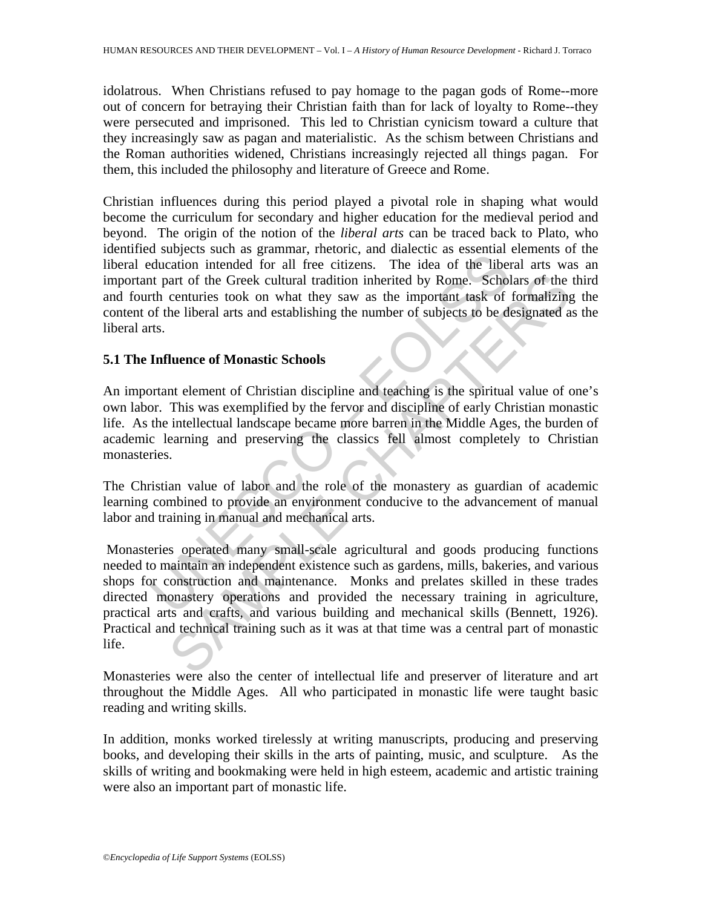idolatrous. When Christians refused to pay homage to the pagan gods of Rome--more out of concern for betraying their Christian faith than for lack of loyalty to Rome--they were persecuted and imprisoned. This led to Christian cynicism toward a culture that they increasingly saw as pagan and materialistic. As the schism between Christians and the Roman authorities widened, Christians increasingly rejected all things pagan. For them, this included the philosophy and literature of Greece and Rome.

Such a search and the collection and probability and a search and a search and a search and care is a search and ducation intended for all free citizens. The idea of the libert that of the Greek cultural tradition inherite Christian influences during this period played a pivotal role in shaping what would become the curriculum for secondary and higher education for the medieval period and beyond. The origin of the notion of the *liberal arts* can be traced back to Plato, who identified subjects such as grammar, rhetoric, and dialectic as essential elements of the liberal education intended for all free citizens. The idea of the liberal arts was an important part of the Greek cultural tradition inherited by Rome. Scholars of the third and fourth centuries took on what they saw as the important task of formalizing the content of the liberal arts and establishing the number of subjects to be designated as the liberal arts.

#### **5.1 The Influence of Monastic Schools**

An important element of Christian discipline and teaching is the spiritual value of one's own labor. This was exemplified by the fervor and discipline of early Christian monastic life. As the intellectual landscape became more barren in the Middle Ages, the burden of academic learning and preserving the classics fell almost completely to Christian monasteries.

The Christian value of labor and the role of the monastery as guardian of academic learning combined to provide an environment conducive to the advancement of manual labor and training in manual and mechanical arts.

and of the Greek cultural tradition inherited by Rome. Scholars of the centuries took on what they saw as the important task of formalizing<br>he liberal arts and establishing the number of subjects to be designated a<br>**luence**  Monasteries operated many small-scale agricultural and goods producing functions needed to maintain an independent existence such as gardens, mills, bakeries, and various shops for construction and maintenance. Monks and prelates skilled in these trades directed monastery operations and provided the necessary training in agriculture, practical arts and crafts, and various building and mechanical skills (Bennett, 1926). Practical and technical training such as it was at that time was a central part of monastic life.

Monasteries were also the center of intellectual life and preserver of literature and art throughout the Middle Ages. All who participated in monastic life were taught basic reading and writing skills.

In addition, monks worked tirelessly at writing manuscripts, producing and preserving books, and developing their skills in the arts of painting, music, and sculpture. As the skills of writing and bookmaking were held in high esteem, academic and artistic training were also an important part of monastic life.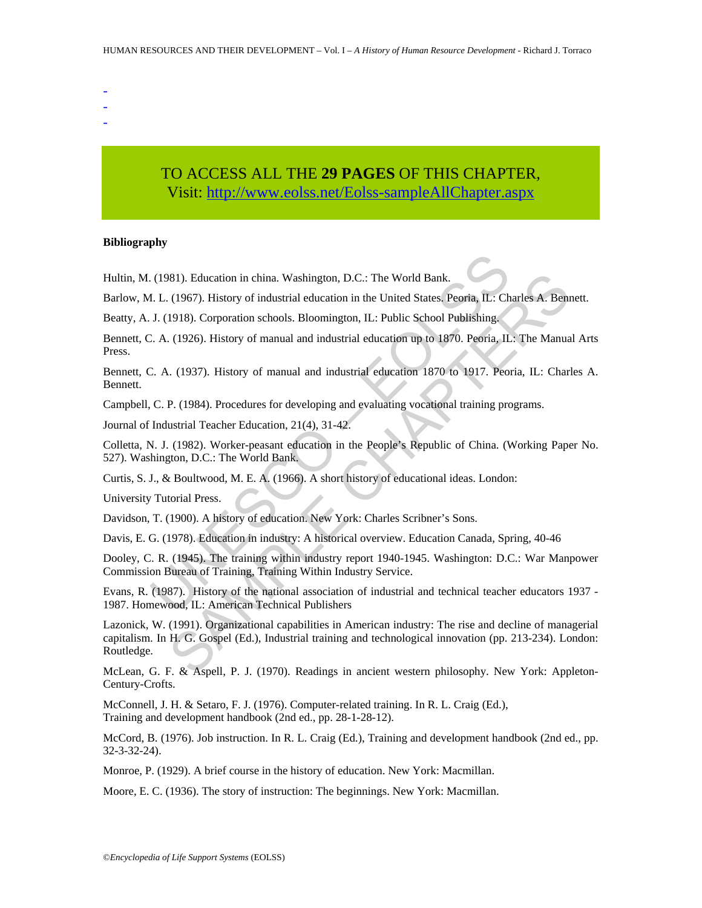- -
- -
- -

# TO ACCESS ALL THE **29 PAGES** OF THIS CHAPTER, Visit[: http://www.eolss.net/Eolss-sampleAllChapter.aspx](https://www.eolss.net/ebooklib/sc_cart.aspx?File=E1-10-01-01)

#### **Bibliography**

Hultin, M. (1981). Education in china. Washington, D.C.: The World Bank.

Barlow, M. L. (1967). History of industrial education in the United States. Peoria, IL: Charles A. Bennett.

Beatty, A. J. (1918). Corporation schools. Bloomington, IL: Public School Publishing.

(1981). Education in china. Washington, D.C.: The World Bank.<br>
1. L. (1967). History of industrial education in the United States. Peoria, IL: Ch<br>
1. (1918). Corporation schools. Bloomington, IL: Public School Publishing.<br> Bennett, C. A. (1926). History of manual and industrial education up to 1870. Peoria, IL: The Manual Arts Press.

Bennett, C. A. (1937). History of manual and industrial education 1870 to 1917. Peoria, IL: Charles A. Bennett.

Campbell, C. P. (1984). Procedures for developing and evaluating vocational training programs.

Journal of Industrial Teacher Education, 21(4), 31-42.

Colletta, N. J. (1982). Worker-peasant education in the People's Republic of China. (Working Paper No. 527). Washington, D.C.: The World Bank.

Curtis, S. J., & Boultwood, M. E. A. (1966). A short history of educational ideas. London:

University Tutorial Press.

Davidson, T. (1900). A history of education. New York: Charles Scribner's Sons.

Davis, E. G. (1978). Education in industry: A historical overview. Education Canada, Spring, 40-46

Dooley, C. R. (1945). The training within industry report 1940-1945. Washington: D.C.: War Manpower Commission Bureau of Training, Training Within Industry Service.

Evans, R. (1987). History of the national association of industrial and technical teacher educators 1937 - 1987. Homewood, IL: American Technical Publishers

981). Education in china. Washington, D.C.: The World Bank.<br>
(1967). History of industrial education in the United States, Peoria, IL: Charles A. Bent (1967). History of manual and industrial education up to 1870. Peoria, Lazonick, W. (1991). Organizational capabilities in American industry: The rise and decline of managerial capitalism. In H. G. Gospel (Ed.), Industrial training and technological innovation (pp. 213-234). London: Routledge.

McLean, G. F. & Aspell, P. J. (1970). Readings in ancient western philosophy. New York: Appleton-Century-Crofts.

McConnell, J. H. & Setaro, F. J. (1976). Computer-related training. In R. L. Craig (Ed.), Training and development handbook (2nd ed., pp. 28-1-28-12).

McCord, B. (1976). Job instruction. In R. L. Craig (Ed.), Training and development handbook (2nd ed., pp. 32-3-32-24).

Monroe, P. (1929). A brief course in the history of education. New York: Macmillan.

Moore, E. C. (1936). The story of instruction: The beginnings. New York: Macmillan.